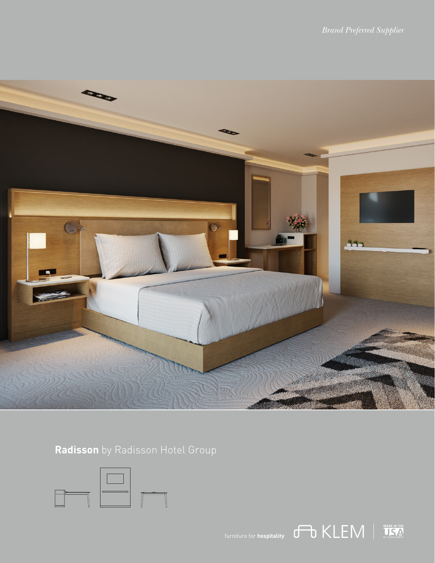

**Radisson** by Radisson Hotel Group



furniture for **hospitality**  $\sigma$  **KLEM**  $\left| \begin{array}{c} \text{MADE IN THE} \\ \text{NATE} \end{array} \right|$